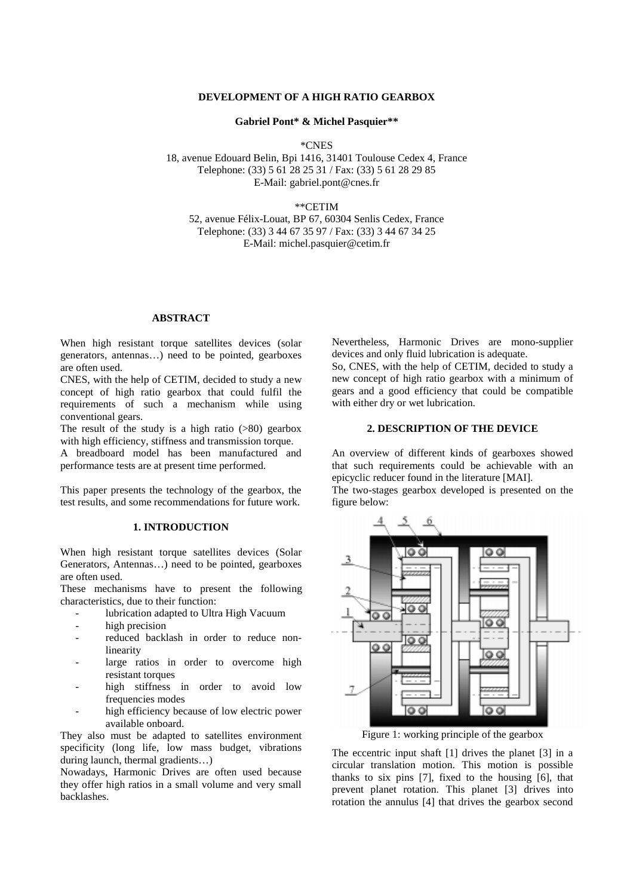# **DEVELOPMENT OF A HIGH RATIO GEARBOX**

### **Gabriel Pont\* & Michel Pasquier\*\***

\*CNES

18, avenue Edouard Belin, Bpi 1416, 31401 Toulouse Cedex 4, France Telephone: (33) 5 61 28 25 31 / Fax: (33) 5 61 28 29 85 E-Mail: gabriel.pont@cnes.fr

\*\*CETIM

52, avenue Félix-Louat, BP 67, 60304 Senlis Cedex, France Telephone: (33) 3 44 67 35 97 / Fax: (33) 3 44 67 34 25 E-Mail: michel.pasquier@cetim.fr

# **ABSTRACT**

When high resistant torque satellites devices (solar generators, antennas…) need to be pointed, gearboxes are often used.

CNES, with the help of CETIM, decided to study a new concept of high ratio gearbox that could fulfil the requirements of such a mechanism while using conventional gears.

The result of the study is a high ratio  $(>\!\!80)$  gearbox with high efficiency, stiffness and transmission torque.

A breadboard model has been manufactured and performance tests are at present time performed.

This paper presents the technology of the gearbox, the test results, and some recommendations for future work.

# **1. INTRODUCTION**

When high resistant torque satellites devices (Solar Generators, Antennas…) need to be pointed, gearboxes are often used.

These mechanisms have to present the following characteristics, due to their function:

- lubrication adapted to Ultra High Vacuum
- high precision
- reduced backlash in order to reduce nonlinearity
- large ratios in order to overcome high resistant torques
- high stiffness in order to avoid low frequencies modes
- high efficiency because of low electric power available onboard.

They also must be adapted to satellites environment specificity (long life, low mass budget, vibrations during launch, thermal gradients…)

Nowadays, Harmonic Drives are often used because they offer high ratios in a small volume and very small backlashes.

Nevertheless, Harmonic Drives are mono-supplier devices and only fluid lubrication is adequate.

So, CNES, with the help of CETIM, decided to study a new concept of high ratio gearbox with a minimum of gears and a good efficiency that could be compatible with either dry or wet lubrication.

# **2. DESCRIPTION OF THE DEVICE**

An overview of different kinds of gearboxes showed that such requirements could be achievable with an epicyclic reducer found in the literature [MAI].

The two-stages gearbox developed is presented on the figure below:



Figure 1: working principle of the gearbox

The eccentric input shaft [1] drives the planet [3] in a circular translation motion. This motion is possible thanks to six pins [7], fixed to the housing [6], that prevent planet rotation. This planet [3] drives into rotation the annulus [4] that drives the gearbox second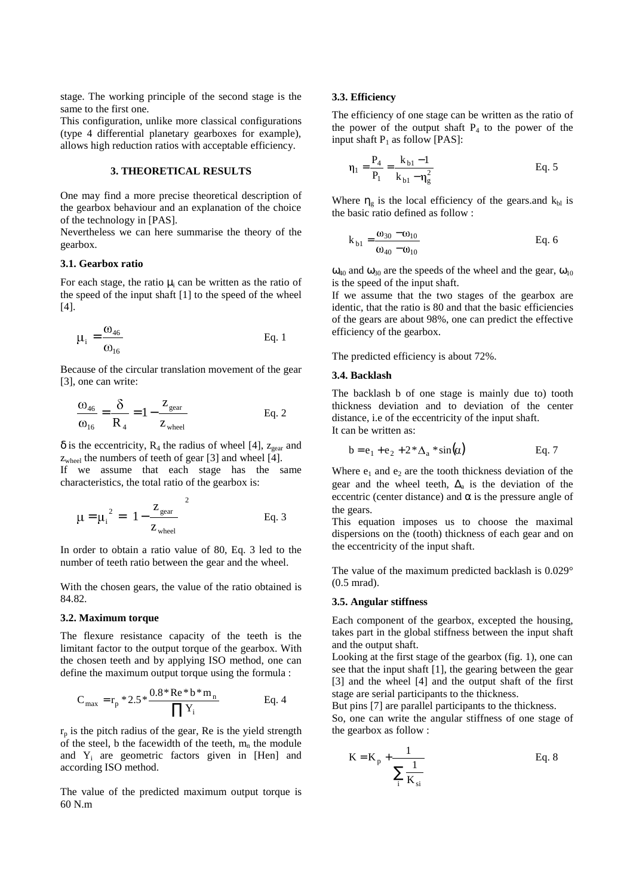stage. The working principle of the second stage is the same to the first one.

This configuration, unlike more classical configurations (type 4 differential planetary gearboxes for example), allows high reduction ratios with acceptable efficiency.

# **3. THEORETICAL RESULTS**

One may find a more precise theoretical description of the gearbox behaviour and an explanation of the choice of the technology in [PAS].

Nevertheless we can here summarise the theory of the gearbox.

#### **3.1. Gearbox ratio**

For each stage, the ratio  $\mu_i$  can be written as the ratio of the speed of the input shaft [1] to the speed of the wheel [4].

$$
\mu_i = \frac{\omega_{46}}{\omega_{16}} \qquad \qquad \text{Eq. 1}
$$

Because of the circular translation movement of the gear [3], one can write:

$$
\frac{\omega_{46}}{\omega_{16}} = \frac{\delta}{R_4} = 1 - \frac{z_{\text{ gear}}}{z_{\text{wheel}}}
$$
 Eq. 2

 $\delta$  is the eccentricity, R<sub>4</sub> the radius of wheel [4],  $z_{\text{gear}}$  and zwheel the numbers of teeth of gear [3] and wheel [4]. If we assume that each stage has the same characteristics, the total ratio of the gearbox is:

$$
\mu = \mu_i^2 = \left(1 - \frac{z_{\text{gear}}}{z_{\text{wheel}}}\right)^2
$$
 Eq. 3

In order to obtain a ratio value of 80, Eq. 3 led to the number of teeth ratio between the gear and the wheel.

With the chosen gears, the value of the ratio obtained is 84.82.

#### **3.2. Maximum torque**

The flexure resistance capacity of the teeth is the limitant factor to the output torque of the gearbox. With the chosen teeth and by applying ISO method, one can define the maximum output torque using the formula :

$$
C_{\text{max}} = r_p * 2.5 * \frac{0.8 * \text{Re} * b * m_n}{\prod Y_i}
$$
 Eq. 4

 $r_p$  is the pitch radius of the gear, Re is the yield strength of the steel, b the facewidth of the teeth,  $m_n$  the module and  $Y_i$  are geometric factors given in [Hen] and according ISO method.

The value of the predicted maximum output torque is 60 N.m

#### **3.3. Efficiency**

The efficiency of one stage can be written as the ratio of the power of the output shaft  $P_4$  to the power of the input shaft  $P_1$  as follow [PAS]:

$$
\eta_1 = \frac{P_4}{P_1} = \frac{k_{b1} - 1}{k_{b1} - \eta_g^2}
$$
 Eq. 5

Where  $\eta_g$  is the local efficiency of the gears.and  $k_{bl}$  is the basic ratio defined as follow :

$$
k_{b1} = \frac{\omega_{30} - \omega_{10}}{\omega_{40} - \omega_{10}}
$$
 Eq. 6

 $\omega_{40}$  and  $\omega_{30}$  are the speeds of the wheel and the gear,  $\omega_{10}$ is the speed of the input shaft.

If we assume that the two stages of the gearbox are identic, that the ratio is 80 and that the basic efficiencies of the gears are about 98%, one can predict the effective efficiency of the gearbox.

The predicted efficiency is about 72%.

## **3.4. Backlash**

The backlash b of one stage is mainly due to) tooth thickness deviation and to deviation of the center distance, i.e of the eccentricity of the input shaft. It can be written as:

$$
b = e_1 + e_2 + 2 * \Delta_a * sin(\alpha)
$$
 Eq. 7

Where  $e_1$  and  $e_2$  are the tooth thickness deviation of the gear and the wheel teeth,  $\Delta$ <sub>a</sub> is the deviation of the eccentric (center distance) and  $\alpha$  is the pressure angle of the gears.

This equation imposes us to choose the maximal dispersions on the (tooth) thickness of each gear and on the eccentricity of the input shaft.

The value of the maximum predicted backlash is 0.029° (0.5 mrad).

#### **3.5. Angular stiffness**

Each component of the gearbox, excepted the housing, takes part in the global stiffness between the input shaft and the output shaft.

Looking at the first stage of the gearbox (fig. 1), one can see that the input shaft [1], the gearing between the gear [3] and the wheel [4] and the output shaft of the first stage are serial participants to the thickness.

But pins [7] are parallel participants to the thickness.

So, one can write the angular stiffness of one stage of the gearbox as follow :

$$
K = K_p + \frac{1}{\sum_{i} \frac{1}{K_{si}}} \qquad \qquad Eq. 8
$$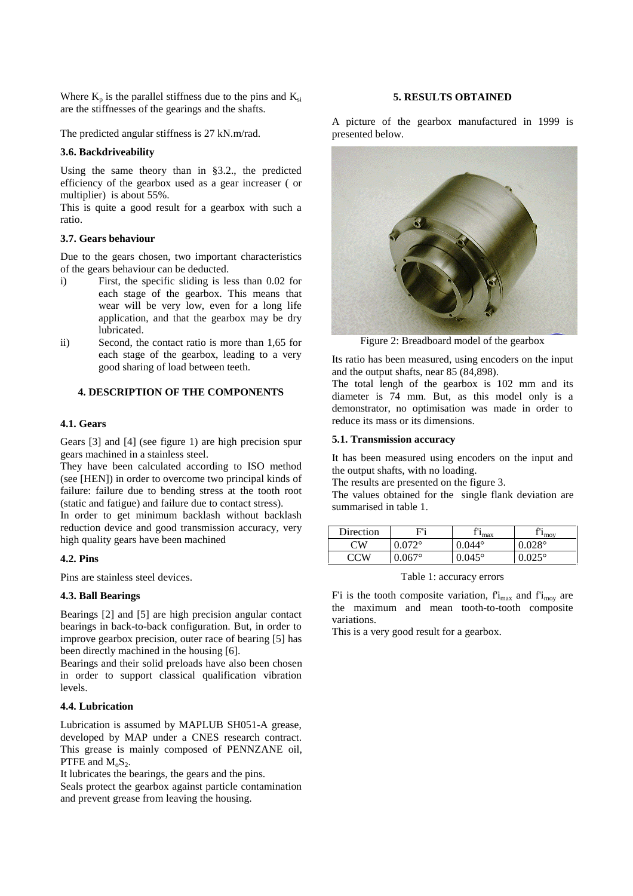Where  $K_p$  is the parallel stiffness due to the pins and  $K_{si}$ are the stiffnesses of the gearings and the shafts.

The predicted angular stiffness is 27 kN.m/rad.

## **3.6. Backdriveability**

Using the same theory than in §3.2., the predicted efficiency of the gearbox used as a gear increaser ( or multiplier) is about 55%.

This is quite a good result for a gearbox with such a ratio.

#### **3.7. Gears behaviour**

Due to the gears chosen, two important characteristics of the gears behaviour can be deducted.

- i) First, the specific sliding is less than 0.02 for each stage of the gearbox. This means that wear will be very low, even for a long life application, and that the gearbox may be dry lubricated.
- ii) Second, the contact ratio is more than 1,65 for each stage of the gearbox, leading to a very good sharing of load between teeth.

# **4. DESCRIPTION OF THE COMPONENTS**

#### **4.1. Gears**

Gears [3] and [4] (see figure 1) are high precision spur gears machined in a stainless steel.

They have been calculated according to ISO method (see [HEN]) in order to overcome two principal kinds of failure: failure due to bending stress at the tooth root (static and fatigue) and failure due to contact stress).

In order to get minimum backlash without backlash reduction device and good transmission accuracy, very high quality gears have been machined

## **4.2. Pins**

Pins are stainless steel devices.

# **4.3. Ball Bearings**

Bearings [2] and [5] are high precision angular contact bearings in back-to-back configuration. But, in order to improve gearbox precision, outer race of bearing [5] has been directly machined in the housing [6].

Bearings and their solid preloads have also been chosen in order to support classical qualification vibration levels.

# **4.4. Lubrication**

Lubrication is assumed by MAPLUB SH051-A grease, developed by MAP under a CNES research contract. This grease is mainly composed of PENNZANE oil, PTFE and  $M_0S_2$ .

It lubricates the bearings, the gears and the pins.

Seals protect the gearbox against particle contamination and prevent grease from leaving the housing.

## **5. RESULTS OBTAINED**

A picture of the gearbox manufactured in 1999 is presented below.



Figure 2: Breadboard model of the gearbox

Its ratio has been measured, using encoders on the input and the output shafts, near 85 (84,898).

The total lengh of the gearbox is 102 mm and its diameter is 74 mm. But, as this model only is a demonstrator, no optimisation was made in order to reduce its mass or its dimensions.

# **5.1. Transmission accuracy**

It has been measured using encoders on the input and the output shafts, with no loading.

The results are presented on the figure 3.

The values obtained for the single flank deviation are summarised in table 1.

| Direction  | F'i             | <b>I</b> max    | <b>I</b> mov    |
|------------|-----------------|-----------------|-----------------|
| CW         | $0.072^{\circ}$ | $0.044^{\circ}$ | $0.028^\circ$   |
| <b>CCW</b> | $0.067^\circ$   | $0.045^{\circ}$ | $0.025^{\circ}$ |

## Table 1: accuracy errors

F'i is the tooth composite variation,  $f_{\text{max}}$  and  $f_{\text{max}}$  are the maximum and mean tooth-to-tooth composite variations.

This is a very good result for a gearbox.